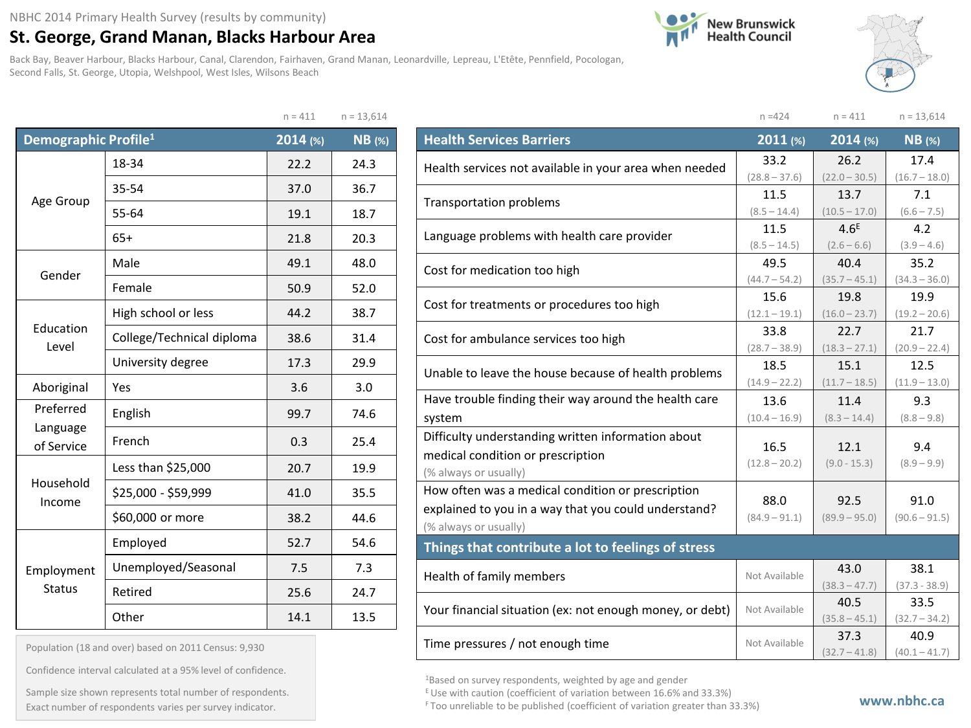## **St. George, Grand Manan, Blacks Harbour Area**

Back Bay, Beaver Harbour, Blacks Harbour, Canal, Clarendon, Fairhaven, Grand Manan, Leonardville, Lepreau, L'Etête, Pennfield, Pocologan, Second Falls, St. George, Utopia, Welshpool, West Isles, Wilsons Beach





|                                  |                           | $n = 411$ | $n = 13,614$  |
|----------------------------------|---------------------------|-----------|---------------|
| Demographic Profile <sup>1</sup> |                           | 2014(%)   | <b>NB</b> (%) |
|                                  | 18-34                     | 22.2      | 24.3          |
|                                  | 35-54                     | 37.0      | 36.7          |
| Age Group                        | 55-64                     | 19.1      | 18.7          |
|                                  | $65+$                     | 21.8      | 20.3          |
| Gender                           | Male                      | 49.1      | 48.0          |
|                                  | Female                    | 50.9      | 52.0          |
|                                  | High school or less       | 44.2      | 38.7          |
| Education<br>Level               | College/Technical diploma | 38.6      | 31.4          |
|                                  | University degree         | 17.3      | 29.9          |
| Aboriginal                       | Yes                       | 3.6       | 3.0           |
| Preferred                        | English                   | 99.7      | 74.6          |
| Language<br>of Service           | French                    | 0.3       | 25.4          |
|                                  | Less than \$25,000        | 20.7      | 19.9          |
| Household<br>Income              | \$25,000 - \$59,999       | 41.0      | 35.5          |
|                                  | \$60,000 or more          | 38.2      | 44.6          |
|                                  | Employed                  | 52.7      | 54.6          |
| Employment                       | Unemployed/Seasonal       | 7.5       | 7.3           |
| <b>Status</b>                    | Retired                   | 25.6      | 24.7          |
|                                  | Other                     | 14.1      | 13.5          |

|                                                          | $n = 424$       | $n = 411$        | $n = 13,614$    |
|----------------------------------------------------------|-----------------|------------------|-----------------|
| <b>Health Services Barriers</b>                          | $2011$ (%)      | $2014$ (%)       | $NB$ (%)        |
| Health services not available in your area when needed   | 33.2            | 26.2             | 17.4            |
|                                                          | $(28.8 - 37.6)$ | $(22.0 - 30.5)$  | $(16.7 - 18.0)$ |
| Transportation problems                                  | 11.5            | 13.7             | 7.1             |
|                                                          | $(8.5 - 14.4)$  | $(10.5 - 17.0)$  | $(6.6 - 7.5)$   |
| Language problems with health care provider              | 11.5            | 4.6 <sup>E</sup> | 4.2             |
|                                                          | $(8.5 - 14.5)$  | $(2.6 - 6.6)$    | $(3.9 - 4.6)$   |
| Cost for medication too high                             | 49.5            | 40.4             | 35.2            |
|                                                          | $(44.7 - 54.2)$ | $(35.7 - 45.1)$  | $(34.3 - 36.0)$ |
| Cost for treatments or procedures too high               | 15.6            | 19.8             | 19.9            |
|                                                          | $(12.1 - 19.1)$ | $(16.0 - 23.7)$  | $(19.2 - 20.6)$ |
| Cost for ambulance services too high                     | 33.8            | 22.7             | 21.7            |
|                                                          | $(28.7 - 38.9)$ | $(18.3 - 27.1)$  | $(20.9 - 22.4)$ |
| Unable to leave the house because of health problems     | 18.5            | 15.1             | 12.5            |
|                                                          | $(14.9 - 22.2)$ | $(11.7 - 18.5)$  | $(11.9 - 13.0)$ |
| Have trouble finding their way around the health care    | 13.6            | 11.4             | 9.3             |
| system                                                   | $(10.4 - 16.9)$ | $(8.3 - 14.4)$   | $(8.8 - 9.8)$   |
| Difficulty understanding written information about       |                 |                  |                 |
| medical condition or prescription                        | 16.5            | 12.1             | 9.4             |
| (% always or usually)                                    | $(12.8 - 20.2)$ | $(9.0 - 15.3)$   | $(8.9 - 9.9)$   |
| How often was a medical condition or prescription        |                 |                  |                 |
| explained to you in a way that you could understand?     | 88.0            | 92.5             | 91.0            |
| (% always or usually)                                    | $(84.9 - 91.1)$ | $(89.9 - 95.0)$  | $(90.6 - 91.5)$ |
| Things that contribute a lot to feelings of stress       |                 |                  |                 |
|                                                          | Not Available   | 43.0             | 38.1            |
| Health of family members                                 |                 | $(38.3 - 47.7)$  | $(37.3 - 38.9)$ |
|                                                          | Not Available   | 40.5             | 33.5            |
| Your financial situation (ex: not enough money, or debt) |                 | $(35.8 - 45.1)$  | $(32.7 - 34.2)$ |

1Based on survey respondents, weighted by age and gender

E Use with caution (coefficient of variation between 16.6% and 33.3%)

Time pressures / not enough time  $\left|\begin{array}{c}37.3\end{array}\right|$  Not Available  $\left|\begin{array}{c}37.3\end{array}\right|$ 

40.9  $(40.1 - 41.7)$ 

 $(32.7 - 41.8)$ 

Population (18 and over) based on 2011 Census: 9,930

Confidence interval calculated at a 95% level of confidence.

Exact number of respondents varies per survey indicator. **Exact number of respondents varies per survey** indicator. Sample size shown represents total number of respondents.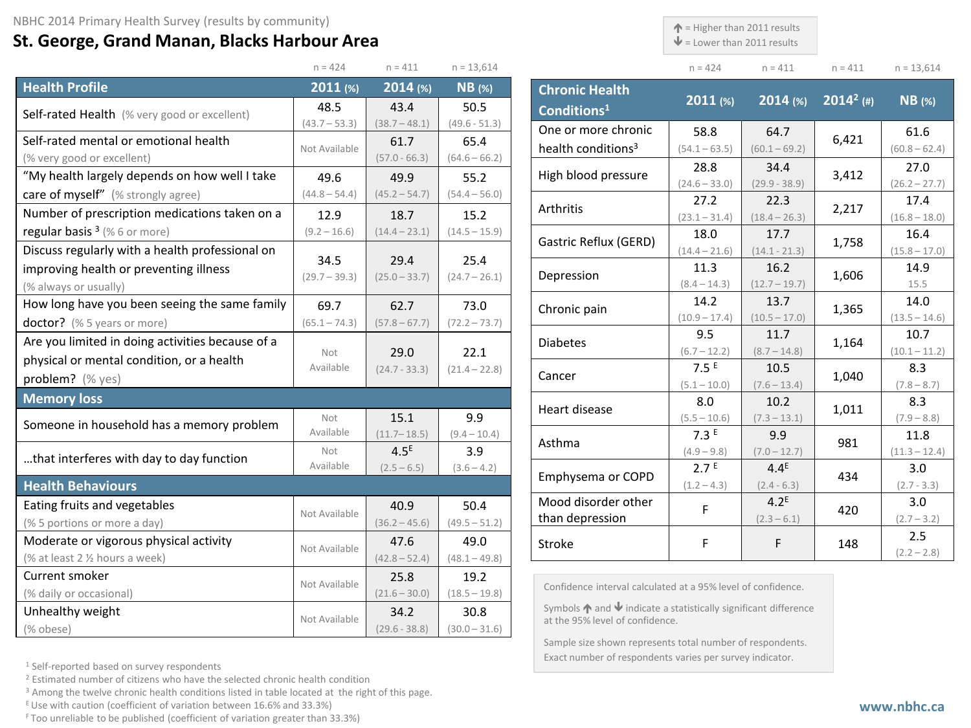## **St. George, Grand Manan, Blacks Harbour Area**

 $\spadesuit$  = Higher than 2011 results

 $\blacklozenge$  = Lower than 2011 results

n = 424 n = 411 n = 411 n = 13,614

 $(60.8 - 62.4)$ 

 $(26.2 - 27.7)$ 

 $(16.8 - 18.0)$ 

 $(15.8 - 17.0)$ 

 $(13.5 - 14.6)$ 

 $(10.1 - 11.2)$ 

 $(7.8 - 8.7)$ 

 $(7.9 - 8.8)$ 

 $(11.3 - 12.4)$ 

 $(2.7 - 3.3)$ 

 $(2.7 - 3.2)$ 

 $(2.2 - 2.8)$ 

|                                                  | $n = 424$       | $n = 411$                         | $n = 13,614$    |                         |                                                                                   | $n = 424$             | $n = 411$              | $n = 411$    | $n = 13,61$          |
|--------------------------------------------------|-----------------|-----------------------------------|-----------------|-------------------------|-----------------------------------------------------------------------------------|-----------------------|------------------------|--------------|----------------------|
| <b>Health Profile</b>                            | 2011(%)         | $2014$ (%)                        | $NB$ (%)        | <b>Chronic Health</b>   |                                                                                   | $2011$ (%)            | $2014$ (%)             | $2014^2$ (#) | $NB$ (%)             |
| Self-rated Health (% very good or excellent)     | 48.5            | 43.4                              | 50.5            | Conditions <sup>1</sup> |                                                                                   |                       |                        |              |                      |
|                                                  | $(43.7 - 53.3)$ | $(38.7 - 48.1)$                   | $(49.6 - 51.3)$ |                         | One or more chronic                                                               | 58.8                  | 64.7                   |              | 61.6                 |
| Self-rated mental or emotional health            | Not Available   | 61.7                              | 65.4            |                         | health conditions <sup>3</sup>                                                    | $(54.1 - 63.5)$       | $(60.1 - 69.2)$        | 6,421        | $(60.8 - 62)$        |
| (% very good or excellent)                       |                 | $(57.0 - 66.3)$                   | $(64.6 - 66.2)$ |                         |                                                                                   | 28.8                  | 34.4                   |              | 27.0                 |
| "My health largely depends on how well I take    | 49.6            | 49.9                              | 55.2            |                         | High blood pressure                                                               | $(24.6 - 33.0)$       | $(29.9 - 38.9)$        | 3,412        | $(26.2 - 27)$        |
| care of myself" (% strongly agree)               | $(44.8 - 54.4)$ | $(45.2 - 54.7)$                   | $(54.4 - 56.0)$ | Arthritis               |                                                                                   | 27.2                  | 22.3                   | 2,217        | 17.4                 |
| Number of prescription medications taken on a    | 12.9            | 18.7                              | 15.2            |                         |                                                                                   | $(23.1 - 31.4)$       | $(18.4 - 26.3)$        |              | $(16.8 - 18)$        |
| regular basis $3$ (% 6 or more)                  | $(9.2 - 16.6)$  | $(14.4 - 23.1)$                   | $(14.5 - 15.9)$ |                         | Gastric Reflux (GERD)                                                             | 18.0                  | 17.7                   | 1,758        | 16.4                 |
| Discuss regularly with a health professional on  | 34.5            | 29.4                              | 25.4            |                         |                                                                                   | $(14.4 - 21.6)$       | $(14.1 - 21.3)$        |              | $(15.8 - 17.$        |
| improving health or preventing illness           | $(29.7 - 39.3)$ | $(25.0 - 33.7)$                   | $(24.7 - 26.1)$ | Depression              |                                                                                   | 11.3                  | 16.2                   | 1,606        | 14.9                 |
| (% always or usually)                            |                 |                                   |                 |                         |                                                                                   | $(8.4 - 14.3)$        | $(12.7 - 19.7)$        |              | 15.5                 |
| How long have you been seeing the same family    | 69.7            | 62.7                              | 73.0            | Chronic pain            |                                                                                   | 14.2                  | 13.7                   | 1,365        | 14.0                 |
| <b>doctor?</b> (% 5 years or more)               | $(65.1 - 74.3)$ | $(57.8 - 67.7)$                   | $(72.2 - 73.7)$ |                         |                                                                                   | $(10.9 - 17.4)$       | $(10.5 - 17.0)$        |              | $(13.5 - 14)$        |
| Are you limited in doing activities because of a |                 |                                   |                 | <b>Diabetes</b>         |                                                                                   | 9.5                   | 11.7                   | 1,164        | 10.7                 |
| physical or mental condition, or a health        | Not             | 29.0                              | 22.1            |                         |                                                                                   | $(6.7 - 12.2)$        | $(8.7 - 14.8)$         |              | $(10.1 - 11)$        |
| problem? (% yes)                                 | Available       | $(24.7 - 33.3)$                   | $(21.4 - 22.8)$ | Cancer                  |                                                                                   | 7.5E                  | 10.5                   | 1,040        | 8.3                  |
| <b>Memory loss</b>                               |                 |                                   |                 |                         |                                                                                   | $(5.1 - 10.0)$<br>8.0 | $(7.6 - 13.4)$<br>10.2 |              | $(7.8 - 8.7)$<br>8.3 |
|                                                  | Not             | 15.1                              | 9.9             | Heart disease           |                                                                                   | $(5.5 - 10.6)$        | $(7.3 - 13.1)$         | 1,011        | $(7.9 - 8.8)$        |
| Someone in household has a memory problem        | Available       | $(11.7 - 18.5)$<br>$(9.4 - 10.4)$ |                 | 7.3E                    | 9.9                                                                               |                       | 11.8                   |              |                      |
|                                                  | Not             | 4.5 <sup>E</sup>                  | 3.9             | Asthma                  |                                                                                   | $(4.9 - 9.8)$         | $(7.0 - 12.7)$         | 981          | $(11.3 - 12)$        |
| that interferes with day to day function         | Available       | $(2.5 - 6.5)$                     | $(3.6 - 4.2)$   |                         |                                                                                   | 2.7 <sup>E</sup>      | $4.4^E$                |              | 3.0                  |
| <b>Health Behaviours</b>                         |                 |                                   |                 |                         | Emphysema or COPD                                                                 | $(1.2 - 4.3)$         | $(2.4 - 6.3)$          | 434          | $(2.7 - 3.3)$        |
| Eating fruits and vegetables                     |                 | 40.9                              | 50.4            |                         | Mood disorder other                                                               |                       | 4.2 <sup>E</sup>       |              | 3.0                  |
| (% 5 portions or more a day)                     | Not Available   | $(36.2 - 45.6)$                   | $(49.5 - 51.2)$ | than depression         |                                                                                   | F                     | $(2.3 - 6.1)$          | 420          | $(2.7 - 3.2)$        |
| Moderate or vigorous physical activity           |                 | 47.6                              | 49.0            |                         |                                                                                   | F                     |                        |              | 2.5                  |
| (% at least 2 % hours a week)                    | Not Available   | $(42.8 - 52.4)$                   | $(48.1 - 49.8)$ | Stroke                  |                                                                                   |                       | F                      | 148          | $(2.2 - 2.8)$        |
| Current smoker                                   |                 | 25.8                              | 19.2            |                         |                                                                                   |                       |                        |              |                      |
| (% daily or occasional)                          | Not Available   | $(21.6 - 30.0)$                   | $(18.5 - 19.8)$ |                         | Confidence interval calculated at a 95% level of confidence.                      |                       |                        |              |                      |
| Unhealthy weight                                 |                 | 34.2                              | 30.8            |                         | Symbols $\bigwedge$ and $\bigvee$ indicate a statistically significant difference |                       |                        |              |                      |
| (% obese)                                        | Not Available   | $(29.6 - 38.8)$                   | $(30.0 - 31.6)$ |                         | at the 95% level of confidence.                                                   |                       |                        |              |                      |

Sample size shown represents total number of respondents. Exact number of respondents varies per survey indicator.

<sup>1</sup> Self-reported based on survey respondents

<sup>2</sup> Estimated number of citizens who have the selected chronic health condition

<sup>3</sup> Among the twelve chronic health conditions listed in table located at the right of this page.

E Use with caution (coefficient of variation between 16.6% and 33.3%)

F Too unreliable to be published (coefficient of variation greater than 33.3%)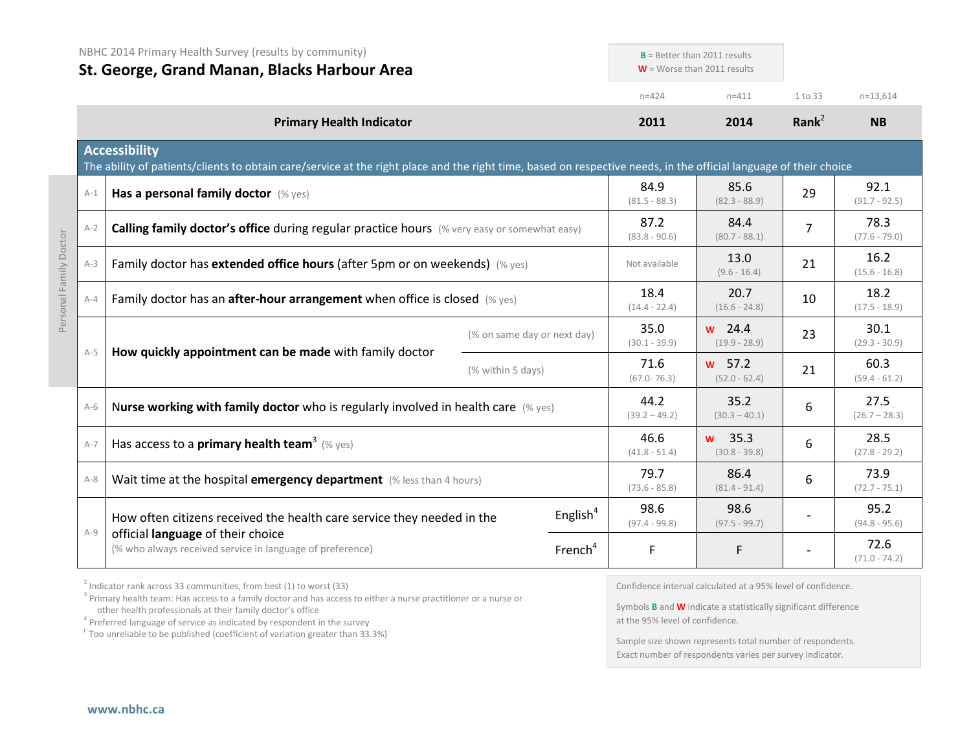|         | NBHC 2014 Primary Health Survey (results by community)<br>St. George, Grand Manan, Blacks Harbour Area                                                                                    |                   |                             |                         | $B =$ Better than 2011 results<br>$W =$ Worse than 2011 results |                         |                         |
|---------|-------------------------------------------------------------------------------------------------------------------------------------------------------------------------------------------|-------------------|-----------------------------|-------------------------|-----------------------------------------------------------------|-------------------------|-------------------------|
|         |                                                                                                                                                                                           |                   |                             | $n = 424$               | $n = 411$                                                       | 1 to 33                 | $n=13,614$              |
|         | <b>Primary Health Indicator</b>                                                                                                                                                           |                   |                             | 2011                    | 2014                                                            | Rank <sup>2</sup>       | <b>NB</b>               |
|         | <b>Accessibility</b><br>The ability of patients/clients to obtain care/service at the right place and the right time, based on respective needs, in the official language of their choice |                   |                             |                         |                                                                 |                         |                         |
| $A-1$   | Has a personal family doctor (% yes)                                                                                                                                                      |                   |                             | 84.9<br>$(81.5 - 88.3)$ | 85.6<br>$(82.3 - 88.9)$                                         | 29                      | 92.1<br>$(91.7 - 92.5)$ |
| $A-2$   | Calling family doctor's office during regular practice hours (% very easy or somewhat easy)                                                                                               |                   | 87.2<br>$(83.8 - 90.6)$     | 84.4<br>$(80.7 - 88.1)$ | $\overline{7}$                                                  | 78.3<br>$(77.6 - 79.0)$ |                         |
| $A-3$   | Family doctor has extended office hours (after 5pm or on weekends) (% yes)<br>Family doctor has an <b>after-hour arrangement</b> when office is closed $(\%$ yes)                         |                   |                             | Not available           | 13.0<br>$(9.6 - 16.4)$                                          | 21                      | 16.2<br>$(15.6 - 16.8)$ |
| $A - 4$ |                                                                                                                                                                                           |                   |                             | 18.4<br>$(14.4 - 22.4)$ | 20.7<br>$(16.6 - 24.8)$                                         | 10                      | 18.2<br>$(17.5 - 18.9)$ |
|         |                                                                                                                                                                                           |                   | (% on same day or next day) | 35.0<br>$(30.1 - 39.9)$ | $w$ 24.4<br>$(19.9 - 28.9)$                                     | 23                      | 30.1<br>$(29.3 - 30.9)$ |
| $A-5$   | How quickly appointment can be made with family doctor                                                                                                                                    | (% within 5 days) |                             | 71.6<br>$(67.0 - 76.3)$ | $w$ 57.2<br>$(52.0 - 62.4)$                                     | 21                      | 60.3<br>$(59.4 - 61.2)$ |
| $A-6$   | Nurse working with family doctor who is regularly involved in health care $(\%$ yes)                                                                                                      |                   |                             | 44.2<br>$(39.2 - 49.2)$ | 35.2<br>$(30.3 - 40.1)$                                         | 6                       | 27.5<br>$(26.7 - 28.3)$ |
| $A-7$   | Has access to a primary health team <sup>3</sup> (% yes)                                                                                                                                  |                   |                             | 46.6<br>$(41.8 - 51.4)$ | w 35.3<br>$(30.8 - 39.8)$                                       | 6                       | 28.5<br>$(27.8 - 29.2)$ |
| $A-8$   | Wait time at the hospital emergency department (% less than 4 hours)                                                                                                                      |                   |                             | 79.7<br>$(73.6 - 85.8)$ | 86.4<br>$(81.4 - 91.4)$                                         | 6                       | 73.9<br>$(72.7 - 75.1)$ |
|         | How often citizens received the health care service they needed in the                                                                                                                    |                   | English $4$                 | 98.6<br>$(97.4 - 99.8)$ | 98.6<br>$(97.5 - 99.7)$                                         |                         | 95.2<br>$(94.8 - 95.6)$ |
| $A-9$   | official language of their choice<br>(% who always received service in language of preference)                                                                                            |                   | French <sup>4</sup>         | F                       | F.                                                              |                         | 72.6<br>$(71.0 - 74.2)$ |

 $2$  Indicator rank across 33 communities, from best (1) to worst (33)

<sup>3</sup> Primary health team: Has access to a family doctor and has access to either a nurse practitioner or a nurse or other health professionals at their family doctor's office

<sup>F</sup> Too unreliable to be published (coefficient of variation greater than 33.3%)

Confidence interval calculated at a 95% level of confidence.

Symbols **B** and **W** indicate a statistically significant difference at the 95% level of confidence.

Sample size shown represents total number of respondents. Exact number of respondents varies per survey indicator.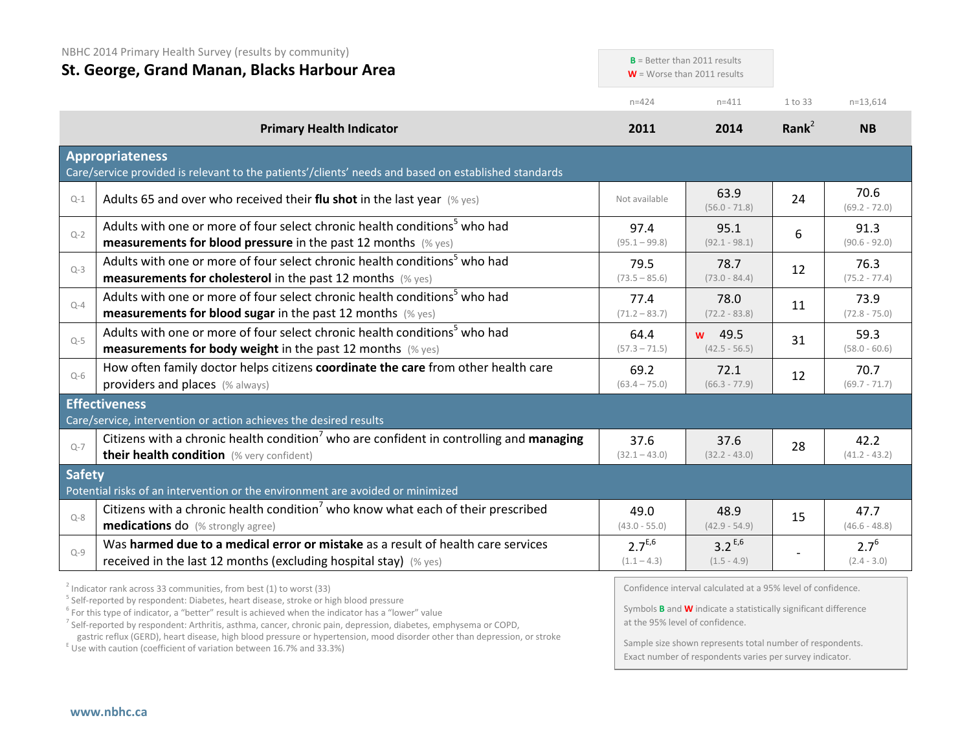| NBHC 2014 Primary Health Survey (results by community)<br>St. George, Grand Manan, Blacks Harbour Area |                                                                                                                                                                                                                                                                                   |                              | $B =$ Better than 2011 results<br>$W =$ Worse than 2011 results                                                                               |           |                            |
|--------------------------------------------------------------------------------------------------------|-----------------------------------------------------------------------------------------------------------------------------------------------------------------------------------------------------------------------------------------------------------------------------------|------------------------------|-----------------------------------------------------------------------------------------------------------------------------------------------|-----------|----------------------------|
|                                                                                                        |                                                                                                                                                                                                                                                                                   | $n = 424$                    | $n = 411$                                                                                                                                     | 1 to 33   | $n=13,614$                 |
|                                                                                                        | <b>Primary Health Indicator</b>                                                                                                                                                                                                                                                   | 2011                         | 2014                                                                                                                                          | Rank $^2$ | <b>NB</b>                  |
|                                                                                                        | <b>Appropriateness</b><br>Care/service provided is relevant to the patients'/clients' needs and based on established standards                                                                                                                                                    |                              |                                                                                                                                               |           |                            |
| $Q-1$                                                                                                  | Adults 65 and over who received their flu shot in the last year $(\%$ yes)                                                                                                                                                                                                        | Not available                | 63.9<br>$(56.0 - 71.8)$                                                                                                                       | 24        | 70.6<br>$(69.2 - 72.0)$    |
| $Q-2$                                                                                                  | Adults with one or more of four select chronic health conditions <sup>5</sup> who had<br>measurements for blood pressure in the past 12 months (% yes)                                                                                                                            | 97.4<br>$(95.1 - 99.8)$      | 95.1<br>$(92.1 - 98.1)$                                                                                                                       | 6         | 91.3<br>$(90.6 - 92.0)$    |
| $Q-3$                                                                                                  | Adults with one or more of four select chronic health conditions <sup>5</sup> who had<br><b>measurements for cholesterol</b> in the past 12 months (% yes)                                                                                                                        | 79.5<br>$(73.5 - 85.6)$      | 78.7<br>$(73.0 - 84.4)$                                                                                                                       | 12        | 76.3<br>$(75.2 - 77.4)$    |
| $Q - 4$                                                                                                | Adults with one or more of four select chronic health conditions <sup>5</sup> who had<br><b>measurements for blood sugar in the past 12 months</b> (% yes)                                                                                                                        | 77.4<br>$(71.2 - 83.7)$      | 78.0<br>$(72.2 - 83.8)$                                                                                                                       | 11        | 73.9<br>$(72.8 - 75.0)$    |
| $Q-5$                                                                                                  | Adults with one or more of four select chronic health conditions <sup>5</sup> who had<br>measurements for body weight in the past 12 months (% yes)                                                                                                                               | 64.4<br>$(57.3 - 71.5)$      | w 49.5<br>$(42.5 - 56.5)$                                                                                                                     | 31        | 59.3<br>$(58.0 - 60.6)$    |
| $Q-6$                                                                                                  | How often family doctor helps citizens coordinate the care from other health care<br>providers and places (% always)                                                                                                                                                              | 69.2<br>$(63.4 - 75.0)$      | 72.1<br>$(66.3 - 77.9)$                                                                                                                       | 12        | 70.7<br>$(69.7 - 71.7)$    |
|                                                                                                        | <b>Effectiveness</b><br>Care/service, intervention or action achieves the desired results                                                                                                                                                                                         |                              |                                                                                                                                               |           |                            |
| $Q - 7$                                                                                                | Citizens with a chronic health condition <sup>7</sup> who are confident in controlling and managing<br>their health condition (% very confident)                                                                                                                                  | 37.6<br>$(32.1 - 43.0)$      | 37.6<br>$(32.2 - 43.0)$                                                                                                                       | 28        | 42.2<br>$(41.2 - 43.2)$    |
| <b>Safety</b>                                                                                          | Potential risks of an intervention or the environment are avoided or minimized                                                                                                                                                                                                    |                              |                                                                                                                                               |           |                            |
| $O-8$                                                                                                  | Citizens with a chronic health condition <sup>7</sup> who know what each of their prescribed<br>medications do (% strongly agree)                                                                                                                                                 | 49.0<br>$(43.0 - 55.0)$      | 48.9<br>$(42.9 - 54.9)$                                                                                                                       | 15        | 47.7<br>$(46.6 - 48.8)$    |
| $Q - 9$                                                                                                | Was harmed due to a medical error or mistake as a result of health care services<br>received in the last 12 months (excluding hospital stay) (% yes)                                                                                                                              | $2.7^{E,6}$<br>$(1.1 - 4.3)$ | $3.2^{E,6}$<br>$(1.5 - 4.9)$                                                                                                                  |           | $2.7^{6}$<br>$(2.4 - 3.0)$ |
|                                                                                                        | $2$ Indicator rank across 33 communities, from best (1) to worst (33)<br><sup>5</sup> Self-reported by respondent: Diabetes, heart disease, stroke or high blood pressure<br>$6$ For this type of indicator, a "better" result is achieved when the indicator has a "lower" value |                              | Confidence interval calculated at a 95% level of confidence.<br>Symbols <b>B</b> and <b>W</b> indicate a statistically significant difference |           |                            |

<sup>7</sup> Self-reported by respondent: Arthritis, asthma, cancer, chronic pain, depression, diabetes, emphysema or COPD, gastric reflux (GERD), heart disease, high blood pressure or hypertension, mood disorder other than depression, or stroke E Use with caution (coefficient of variation between 16.7% and 33.3%)

Symbols **B** and **W** indicate a statistically significant difference at the 95% level of confidence.

Sample size shown represents total number of respondents. Exact number of respondents varies per survey indicator.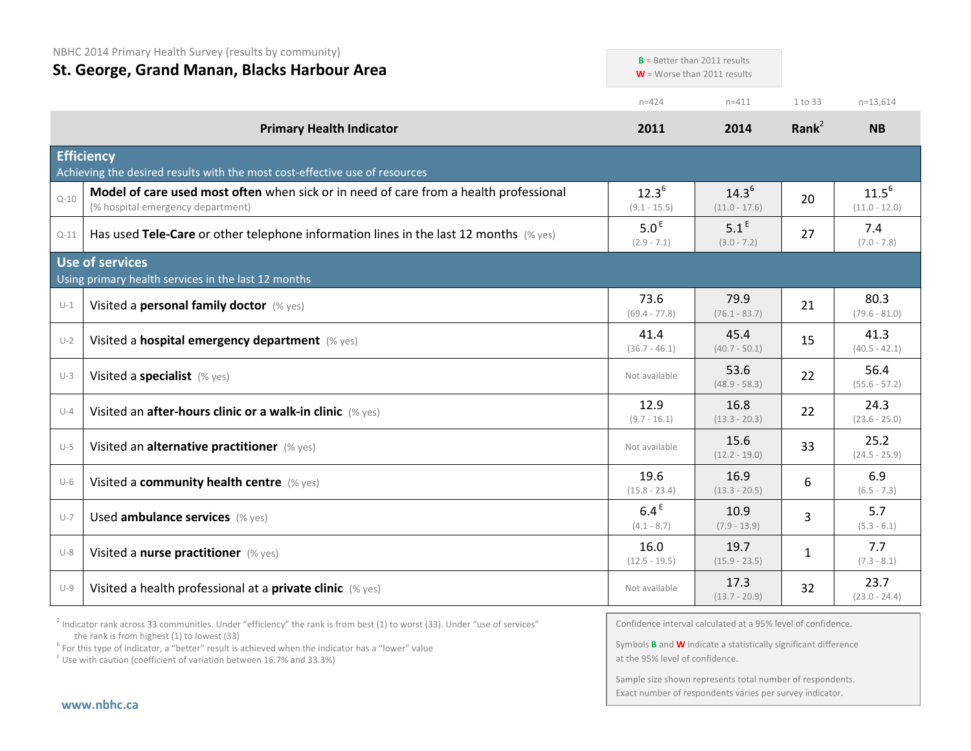NBHC 2014 Primary Health Survey (results by community)

| St. George, Grand Manan, Blacks Harbour Area |                                                                                                                            | $B =$ Better than 2011 results    | $W =$ Worse than 2011 results     |                   |                               |
|----------------------------------------------|----------------------------------------------------------------------------------------------------------------------------|-----------------------------------|-----------------------------------|-------------------|-------------------------------|
|                                              |                                                                                                                            | $n = 424$                         | $n = 411$                         | 1 to 33           | $n=13,614$                    |
|                                              | <b>Primary Health Indicator</b>                                                                                            | 2011                              | 2014                              | Rank <sup>2</sup> | <b>NB</b>                     |
|                                              | <b>Efficiency</b><br>Achieving the desired results with the most cost-effective use of resources                           |                                   |                                   |                   |                               |
| $Q - 10$                                     | Model of care used most often when sick or in need of care from a health professional<br>(% hospital emergency department) | $12.3^{6}$<br>$(9.1 - 15.5)$      | $14.3^{6}$<br>$(11.0 - 17.6)$     | 20                | $11.5^{6}$<br>$(11.0 - 12.0)$ |
| $Q-11$                                       | Has used Tele-Care or other telephone information lines in the last 12 months $(\%$ yes)                                   | 5.0 <sup>E</sup><br>$(2.9 - 7.1)$ | 5.1 <sup>E</sup><br>$(3.0 - 7.2)$ | 27                | 7.4<br>$(7.0 - 7.8)$          |
|                                              | Use of services<br>Using primary health services in the last 12 months                                                     |                                   |                                   |                   |                               |
| $U-1$                                        | Visited a personal family doctor (% yes)                                                                                   | 73.6<br>$(69.4 - 77.8)$           | 79.9<br>$(76.1 - 83.7)$           | 21                | 80.3<br>$(79.6 - 81.0)$       |
| $U-2$                                        | Visited a hospital emergency department (% yes)                                                                            | 41.4<br>$(36.7 - 46.1)$           | 45.4<br>$(40.7 - 50.1)$           | 15                | 41.3<br>$(40.5 - 42.1)$       |
| $U-3$                                        | Visited a specialist (% yes)                                                                                               | Not available                     | 53.6<br>$(48.9 - 58.3)$           | 22                | 56.4<br>$(55.6 - 57.2)$       |
| $U-4$                                        | Visited an after-hours clinic or a walk-in clinic (% yes)                                                                  | 12.9<br>$(9.7 - 16.1)$            | 16.8<br>$(13.3 - 20.3)$           | 22                | 24.3<br>$(23.6 - 25.0)$       |
| $U-5$                                        | Visited an alternative practitioner (% yes)                                                                                | Not available                     | 15.6<br>$(12.2 - 19.0)$           | 33                | 25.2<br>$(24.5 - 25.9)$       |
| $U-6$                                        | Visited a community health centre (% yes)                                                                                  | 19.6<br>$(15.8 - 23.4)$           | 16.9<br>$(13.3 - 20.5)$           | 6                 | 6.9<br>$(6.5 - 7.3)$          |
| $U-7$                                        | Used ambulance services (% yes)                                                                                            | 6.4 <sup>E</sup><br>$(4.1 - 8.7)$ | 10.9<br>$(7.9 - 13.9)$            | 3                 | 5.7<br>$(5.3 - 6.1)$          |
| $U-8$                                        | Visited a nurse practitioner (% yes)                                                                                       | 16.0<br>$(12.5 - 19.5)$           | 19.7<br>$(15.9 - 23.5)$           | 1                 | 7.7<br>$(7.3 - 8.1)$          |
| $U-9$                                        | Visited a health professional at a private clinic (% yes)                                                                  | Not available                     | 17.3<br>$(13.7 - 20.9)$           | 32                | 23.7<br>$(23.0 - 24.4)$       |

<sup>2</sup> Indicator rank across 33 communities. Under "efficiency" the rank is from best (1) to worst (33). Under "use of services" the rank is from highest (1) to lowest (33)

<sup>6</sup> For this type of indicator, a "better" result is achieved when the indicator has a "lower" value  $E$ <sup>E</sup> Use with caution (coefficient of variation between 16.7% and 33.3%)

Confidence interval calculated at a 95% level of confidence.

**B**  $\mathbf{B} = \mathbf{B} \mathbf{B}$  and 2011 results that  $\mathbf{B} = \mathbf{B} \mathbf{B}$ 

Symbols **B** and **W** indicate a statistically significant difference at the 95% level of confidence.

Sample size shown represents total number of respondents. Exact number of respondents varies per survey indicator.